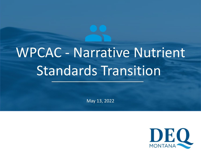# WPCAC - Narrative Nutrient Standards Transition

May 13, 2022

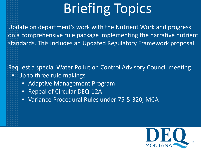# Briefing Topics

• Update on department's work with the Nutrient Work and progress on a comprehensive rule package implementing the narrative nutrient standards. This includes an Updated Regulatory Framework proposal.

Request a special Water Pollution Control Advisory Council meeting. Up to three rule makings

- - Adaptive Management Program
	- Repeal of Circular DEQ-12A
	- Variance Procedural Rules under 75-5-320, MCA

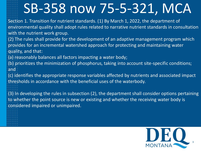# SB-358 now 75-5-321, MCA

• Section 1. Transition for nutrient standards. (1) By March 1, 2022, the department of environmental quality shall adopt rules related to narrative nutrient standards in consultation with the nutrient work group.

• (2) The rules shall provide for the development of an adaptive management program which provides for an incremental watershed approach for protecting and maintaining water quality, and that:

(a) reasonably balances all factors impacting a water body;

• (b) prioritizes the minimization of phosphorus, taking into account site-specific conditions; and

• (c) identifies the appropriate response variables affected by nutrients and associated impact thresholds in accordance with the beneficial uses of the waterbody.

• (3) In developing the rules in subsection (2), the department shall consider options pertaining to whether the point source is new or existing and whether the receiving water body is considered impaired or unimpaired.

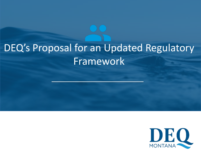## DEQ's Proposal for an Updated Regulatory **Framework**

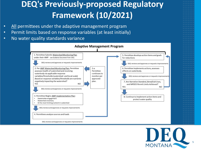### **DEQ's Previously-proposed Regulatory Framework (10/2021)**

- All permittees under the adaptive management program
- Permit limits based on response variables (at least initially)
- No water quality standards variance



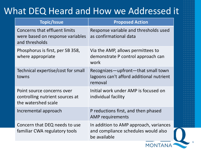### What DEQ Heard and How we Addressed it

| <b>Topic/Issue</b>                                                                         | <b>Proposed Action</b>                                                                        |
|--------------------------------------------------------------------------------------------|-----------------------------------------------------------------------------------------------|
| <b>Concerns that effluent limits</b><br>were based on response variables<br>and thresholds | Response variable and thresholds used<br>as confirmational data                               |
| Phosphorus is first, per SB 358,<br>where appropriate                                      | Via the AMP, allows permittees to<br>demonstrate P control approach can<br>work               |
| Technical expertise/cost for small<br>towns                                                | Recognizes-upfront-that small town<br>lagoons can't afford additional nutrient<br>removal     |
| Point source concerns over<br>controlling nutrient sources at<br>the watershed scale       | Initial work under AMP is focused on<br>individual facility                                   |
| Incremental approach                                                                       | P reductions first, and then phased<br><b>AMP</b> requirements                                |
| Concern that DEQ needs to use<br>familiar CWA regulatory tools                             | In addition to AMP approach, variances<br>and compliance schedules would also<br>be available |



6

**MONTANA**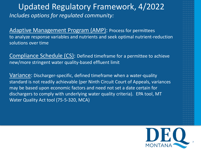### *Includes options for regulated community:* Updated Regulatory Framework, 4/2022

Adaptive Management Program (AMP): Process for permittees to analyze response variables and nutrients and seek optimal nutrient-reduction solutions over time

Compliance Schedule (CS): Defined timeframe for a permittee to achieve new/more stringent water quality-based effluent limit

Variance: Discharger-specific, defined timeframe when a water-quality standard is not readily achievable (per Ninth Circuit Court of Appeals, variances may be based upon economic factors and need not set a date certain for dischargers to comply with underlying water quality criteria). EPA tool, MT Water Quality Act tool (75-5-320, MCA)

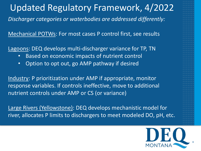### Updated Regulatory Framework, 4/2022

*Discharger categories or waterbodies are addressed differently:*

Mechanical POTWs: For most cases P control first, see results

Lagoons: DEQ develops multi-discharger variance for TP, TN

- Based on economic impacts of nutrient control
- Option to opt out, go AMP pathway if desired

Industry: P prioritization under AMP if appropriate, monitor response variables. If controls ineffective, move to additional nutrient controls under AMP or CS (or variance)

Large Rivers (Yellowstone): DEQ develops mechanistic model for river, allocates P limits to dischargers to meet modeled DO, pH, etc.

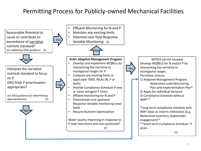### Permitting Process for Publicly-owned Mechanical Facilities

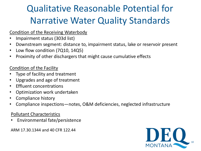### Qualitative Reasonable Potential for Narrative Water Quality Standards

#### Condition of the Receiving Waterbody

- Impairment status (303d list)
- Downstream segment: distance to, impairment status, lake or reservoir present
- Low flow condition (7Q10, 14Q5)
- Proximity of other dischargers that might cause cumulative effects

#### Condition of the Facility

- Type of facility and treatment
- Upgrades and age of treatment
- Effluent concentrations
- Optimization work undertaken
- Compliance history
- Compliance inspections—notes, O&M deficiencies, neglected infrastructure

#### Pollutant Characteristics

• Environmental fate/persistence

ARM 17.30.1344 and 40 CFR 122.44

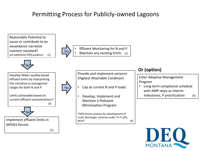### Permitting Process for Publicly-owned Lagoons

Reasonable Potential to cause or contribute to an exceedance narrative nutrient standard? *see additional DEQ guidance* (1)



No

No

Effluent Monitoring for N and P Maintain any existing limits (2)

Provide and implement variance (Highest Attainable Condition)

- Cap at current N and P loads
- Develop, Implement and Maintain a Pollutant Minimization Program

\*DEQ driven process for development of multi-discharger variance under 75-5-320,  $MCA^*$  (4)

#### **Or (option)**

Enter Adaptive Management Program

• Long-term compliance schedule with AMP steps as interim milestones, P prioritization (6)



Develop Water-quality based effluent limits by interpreting the narrative to ecoregional ranges for both N and P.

Limits achievable based on current effluent concentrations? (3)



Implement effluent limits in MPDES Permit

(5)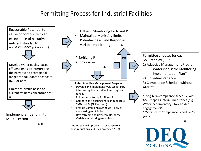### Permitting Process for Industrial Facilities



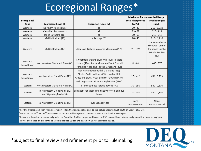### Ecoregional Ranges\*

|                                                                                                                                                                                                                                                                                                                                                                                     |                                                          |                                                                                                                                                                                                    | Maximum Recommended Range |                                                                                    |
|-------------------------------------------------------------------------------------------------------------------------------------------------------------------------------------------------------------------------------------------------------------------------------------------------------------------------------------------------------------------------------------|----------------------------------------------------------|----------------------------------------------------------------------------------------------------------------------------------------------------------------------------------------------------|---------------------------|------------------------------------------------------------------------------------|
| Ecoregional                                                                                                                                                                                                                                                                                                                                                                         |                                                          |                                                                                                                                                                                                    | <b>Total Phosphorus</b>   | <b>Total Nitrogen</b>                                                              |
| Zone                                                                                                                                                                                                                                                                                                                                                                                | Ecoregion (Level III)                                    | Ecoregion (Level IV)                                                                                                                                                                               | $(\mu g/L)$               | $(\mu g/L)$                                                                        |
| Western                                                                                                                                                                                                                                                                                                                                                                             | Northern Rockies (15)                                    | all                                                                                                                                                                                                | $20 - 40$                 | $210 - 1,210$                                                                      |
| Western                                                                                                                                                                                                                                                                                                                                                                             | Canadian Rockies (41)                                    | all                                                                                                                                                                                                | $23 - 62$                 | $325 - 821$                                                                        |
| Western                                                                                                                                                                                                                                                                                                                                                                             | Idaho Batholith (16)                                     | all                                                                                                                                                                                                | $20 - 62$                 | $210 - 718$                                                                        |
| Western                                                                                                                                                                                                                                                                                                                                                                             | Middle Rockies (17)                                      | all except 17i                                                                                                                                                                                     | $20 - 40$                 | $210 - 1,210$                                                                      |
| Western                                                                                                                                                                                                                                                                                                                                                                             | Middle Rockies (17)                                      | Absaroka-Gallatin Volcanic Mountains (17i)                                                                                                                                                         | $61 - 105^b$              | Use values from<br>the lower end of<br>the range for the<br>Middle Rockies<br>(17) |
| Western<br>(transitional)                                                                                                                                                                                                                                                                                                                                                           | Northwestern Glaciated Plains (42)                       | Sweetgrass Upland (42I), Milk River Pothole<br>Upland (42n), Rocky Mountain Front Foothill<br>Potholes (42q), and Foothill Grassland (42r)                                                         | $23 - 80^{\circ}$         | 445 - 775                                                                          |
| Western<br>(transitional)                                                                                                                                                                                                                                                                                                                                                           | Northwestern Great Plains (43)                           | Non-calcareous Foothill Grassland (43s),<br>Shields-Smith Valleys (43t), Limy Foothill<br>Grassland (43u), Pryor-Bighom Foothills (43v),<br>and Unglaciated Montana High Plains (43o) <sup>a</sup> | $20 - 41^d$               | $439 - 1,125$                                                                      |
| Eastern                                                                                                                                                                                                                                                                                                                                                                             | Northwestern Glaciated Plains (42)                       | all except those listed above for 42                                                                                                                                                               | $70 - 150$                | 540 - 1,830                                                                        |
| Eastern                                                                                                                                                                                                                                                                                                                                                                             | Northwestern Great Plains (43)<br>and Wyoming Basin (18) | all except for those listed above for 43, and 43c<br>below                                                                                                                                         | $70 - 150$                | 540 - 1,830                                                                        |
| Eastern                                                                                                                                                                                                                                                                                                                                                                             | Northwestern Great Plains (43)                           | River Breaks (43c)                                                                                                                                                                                 | None<br>recommended       | None<br>recommended                                                                |
| <sup>a</sup> For the Unglaciated High Plains ecoregion (430), the range applies only to the polygon located just south of Great Falls, MT.<br>$\mathsf{b}_\mathsf{D}$ is a set that is a set of the contract of the contract of the contract of the contract of the contract of the contract of the contract of the contract of the contract of the contract of the contract of the |                                                          |                                                                                                                                                                                                    |                           |                                                                                    |

Based on the 25  $^{\rm m}$  and 75  $^{\rm m}$  percentiles of the natural background concentrations in this level IV ecoregion.

 $^{\circ}$ Lower end based on streams' origins in the Canadian Rockies; upper end based on 75<sup>th</sup> percentile of natural background for these ecoregions. dLower end based on similarity to Middle Rockies, upper end based on Elk Creek reference site.

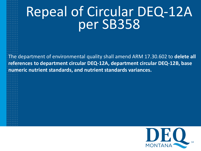# Repeal of Circular DEQ-12A per SB358

• The department of environmental quality shall amend ARM 17.30.602 to **delete all references to department circular DEQ-12A, department circular DEQ-12B, base numeric nutrient standards, and nutrient standards variances.**

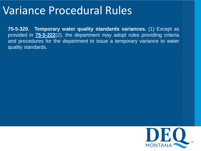## Variance Procedural Rules

**75-5-320. Temporary water quality standards variances.** (1) Except as provided in **[75-5-222](https://leg.mt.gov/bills/mca/title_0750/chapter_0050/part_0020/section_0220/0750-0050-0020-0220.html)**(2), the department may adopt rules providing criteria and procedures for the department to issue a temporary variance to water quality standards.

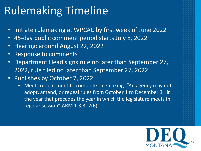## Rulemaking Timeline

- Initiate rulemaking at WPCAC by first week of June 2022
- 45-day public comment period starts July 8, 2022
- Hearing: around August 22, 2022
- Response to comments
- Department Head signs rule no later than September 27, 2022, rule filed no later than September 27, 2022
- Publishes by October 7, 2022
	- Meets requirement to complete rulemaking: "An agency may not adopt, amend, or repeal rules from October 1 to December 31 in the year that precedes the year in which the legislature meets in regular session" ARM 1.3.312(6)

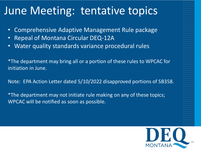## June Meeting: tentative topics

- Comprehensive Adaptive Management Rule package
- Repeal of Montana Circular DEQ-12A
- Water quality standards variance procedural rules

\*The department may bring all or a portion of these rules to WPCAC for initiation in June.

Note: EPA Action Letter dated 5/10/2022 disapproved portions of SB358.

\*The department may not initiate rule making on any of these topics; WPCAC will be notified as soon as possible.

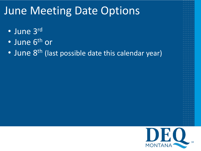## June Meeting Date Options

- June 3rd
- June 6<sup>th</sup> or
- June 8<sup>th</sup> (last possible date this calendar year)